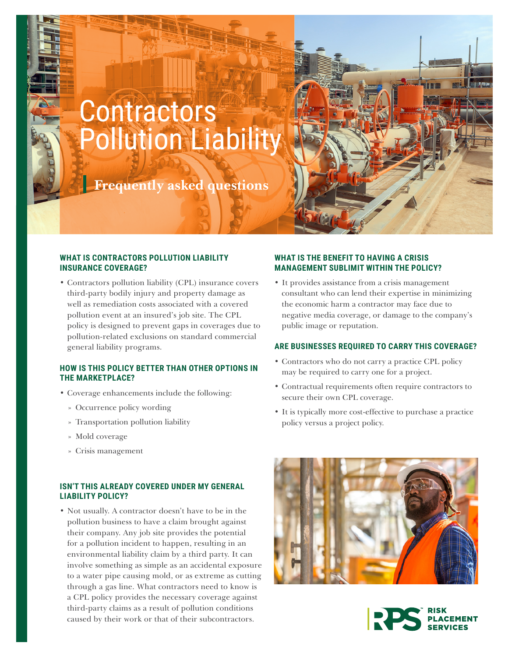# **Contractors** Pollution Liability

**Frequently asked questions** 



# **WHAT IS CONTRACTORS POLLUTION LIABILITY INSURANCE COVERAGE?**

• Contractors pollution liability (CPL) insurance covers third-party bodily injury and property damage as well as remediation costs associated with a covered pollution event at an insured's job site. The CPL policy is designed to prevent gaps in coverages due to pollution-related exclusions on standard commercial general liability programs.

# **HOW IS THIS POLICY BETTER THAN OTHER OPTIONS IN THE MARKETPLACE?**

- Coverage enhancements include the following:
	- » Occurrence policy wording
	- » Transportation pollution liability
	- » Mold coverage
	- » Crisis management

# **ISN'T THIS ALREADY COVERED UNDER MY GENERAL LIABILITY POLICY?**

• Not usually. A contractor doesn't have to be in the pollution business to have a claim brought against their company. Any job site provides the potential for a pollution incident to happen, resulting in an environmental liability claim by a third party. It can involve something as simple as an accidental exposure to a water pipe causing mold, or as extreme as cutting through a gas line. What contractors need to know is a CPL policy provides the necessary coverage against third-party claims as a result of pollution conditions caused by their work or that of their subcontractors.

# **WHAT IS THE BENEFIT TO HAVING A CRISIS MANAGEMENT SUBLIMIT WITHIN THE POLICY?**

• It provides assistance from a crisis management consultant who can lend their expertise in minimizing the economic harm a contractor may face due to negative media coverage, or damage to the company's public image or reputation.

## **ARE BUSINESSES REQUIRED TO CARRY THIS COVERAGE?**

- Contractors who do not carry a practice CPL policy may be required to carry one for a project.
- Contractual requirements often require contractors to secure their own CPL coverage.
- It is typically more cost-effective to purchase a practice policy versus a project policy.